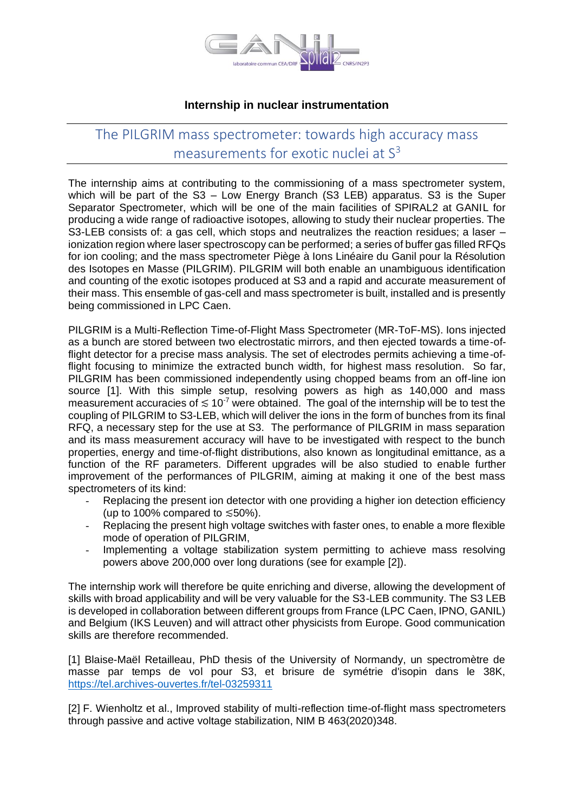

## **Internship in nuclear instrumentation**

## The PILGRIM mass spectrometer: towards high accuracy mass measurements for exotic nuclei at  $S<sup>3</sup>$

The internship aims at contributing to the commissioning of a mass spectrometer system, which will be part of the S3 – Low Energy Branch (S3 LEB) apparatus. S3 is the Super Separator Spectrometer, which will be one of the main facilities of SPIRAL2 at GANIL for producing a wide range of radioactive isotopes, allowing to study their nuclear properties. The S3-LEB consists of: a gas cell, which stops and neutralizes the reaction residues; a laser – ionization region where laser spectroscopy can be performed; a series of buffer gas filled RFQs for ion cooling; and the mass spectrometer Piège à Ions Linéaire du Ganil pour la Résolution des Isotopes en Masse (PILGRIM). PILGRIM will both enable an unambiguous identification and counting of the exotic isotopes produced at S3 and a rapid and accurate measurement of their mass. This ensemble of gas-cell and mass spectrometer is built, installed and is presently being commissioned in LPC Caen.

PILGRIM is a Multi-Reflection Time-of-Flight Mass Spectrometer (MR-ToF-MS). Ions injected as a bunch are stored between two electrostatic mirrors, and then ejected towards a time-offlight detector for a precise mass analysis. The set of electrodes permits achieving a time-offlight focusing to minimize the extracted bunch width, for highest mass resolution. So far, PILGRIM has been commissioned independently using chopped beams from an off-line ion source [1]. With this simple setup, resolving powers as high as 140,000 and mass measurement accuracies of  $\leq 10^{-7}$  were obtained. The goal of the internship will be to test the coupling of PILGRIM to S3-LEB, which will deliver the ions in the form of bunches from its final RFQ, a necessary step for the use at S3. The performance of PILGRIM in mass separation and its mass measurement accuracy will have to be investigated with respect to the bunch properties, energy and time-of-flight distributions, also known as longitudinal emittance, as a function of the RF parameters. Different upgrades will be also studied to enable further improvement of the performances of PILGRIM, aiming at making it one of the best mass spectrometers of its kind:

- Replacing the present ion detector with one providing a higher ion detection efficiency (up to 100% compared to  $\leq 50\%$ ).
- Replacing the present high voltage switches with faster ones, to enable a more flexible mode of operation of PILGRIM,
- Implementing a voltage stabilization system permitting to achieve mass resolving powers above 200,000 over long durations (see for example [2]).

The internship work will therefore be quite enriching and diverse, allowing the development of skills with broad applicability and will be very valuable for the S3-LEB community. The S3 LEB is developed in collaboration between different groups from France (LPC Caen, IPNO, GANIL) and Belgium (IKS Leuven) and will attract other physicists from Europe. Good communication skills are therefore recommended.

[1] Blaise-Maël Retailleau, PhD thesis of the University of Normandy, un spectromètre de masse par temps de vol pour S3, et brisure de symétrie d'isopin dans le 38K, <https://tel.archives-ouvertes.fr/tel-03259311>

[2] F. Wienholtz et al., Improved stability of multi-reflection time-of-flight mass spectrometers through passive and active voltage stabilization, NIM B 463(2020)348.